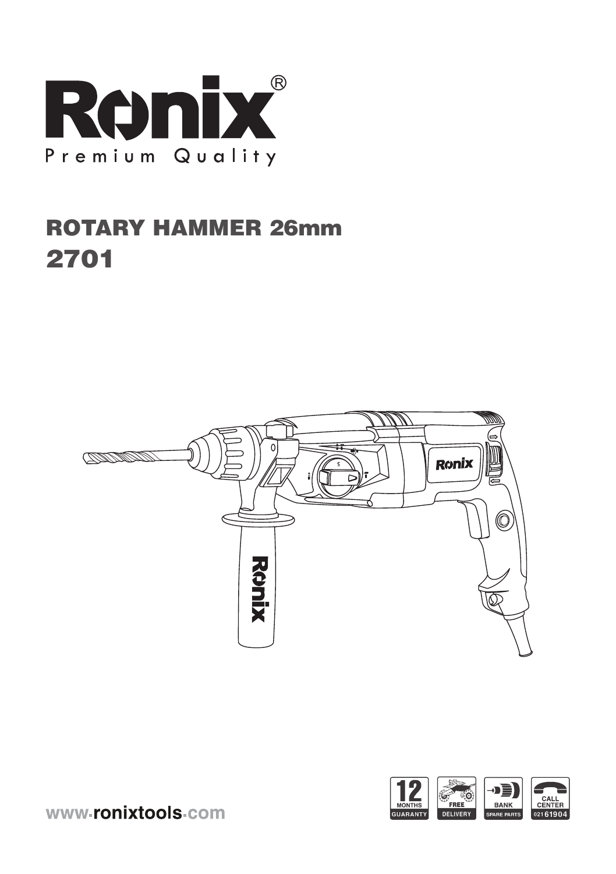

# ROTARY HAMMER 26mm 2701





www-ronixtools-com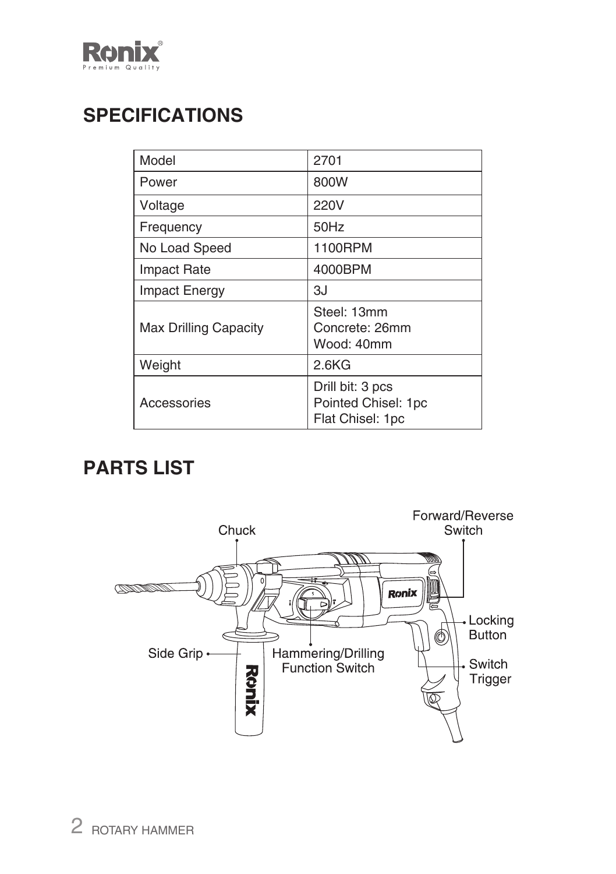

## **SPECIFICATIONS**

| Model                        | 2701                                                        |
|------------------------------|-------------------------------------------------------------|
| Power                        | 800W                                                        |
| Voltage                      | 220V                                                        |
| Frequency                    | 50Hz                                                        |
| No Load Speed                | 1100RPM                                                     |
| <b>Impact Rate</b>           | 4000BPM                                                     |
| <b>Impact Energy</b>         | ЗJ                                                          |
| <b>Max Drilling Capacity</b> | Steel: 13mm<br>Concrete: 26mm<br>Wood: 40mm                 |
| Weight                       | 2.6KG                                                       |
| Accessories                  | Drill bit: 3 pcs<br>Pointed Chisel: 1pc<br>Flat Chisel: 1pc |

## **PARTS LIST**

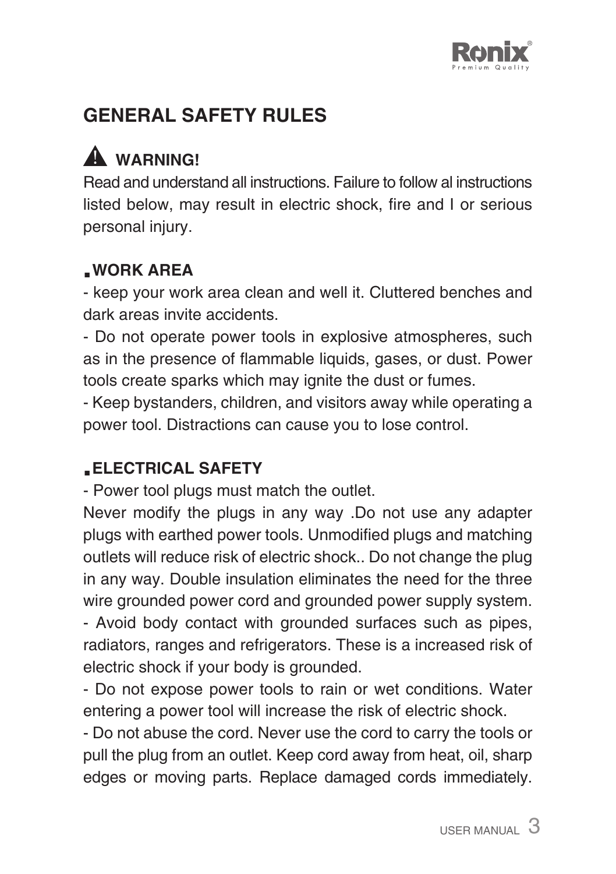

## **GENERAL SAFETY RULES**

# A WARNING!

Read and understand all instructions. Failure to follow al instructions listed below, may result in electric shock, fire and I or serious personal injury.

### **.WORK AREA**

- keep your work area clean and well it. Cluttered benches and dark areas invite accidents.

- Do not operate power tools in explosive atmospheres, such as in the presence of flammable liquids, gases, or dust. Power tools create sparks which may ignite the dust or fumes.

- Keep bystanders, children, and visitors away while operating a power tool. Distractions can cause you to lose control.

### **.ELECTRICAL SAFETY**

- Power tool plugs must match the outlet.

Never modify the plugs in any way .Do not use any adapter plugs with earthed power tools. Unmodified plugs and matching outlets will reduce risk of electric shock.. Do not change the plug in any way. Double insulation eliminates the need for the three wire grounded power cord and grounded power supply system.

- Avoid body contact with grounded surfaces such as pipes, radiators, ranges and refrigerators. These is a increased risk of electric shock if your body is grounded.

- Do not expose power tools to rain or wet conditions. Water entering a power tool will increase the risk of electric shock.

- Do not abuse the cord. Never use the cord to carry the tools or pull the plug from an outlet. Keep cord away from heat, oil, sharp edges or moving parts. Replace damaged cords immediately.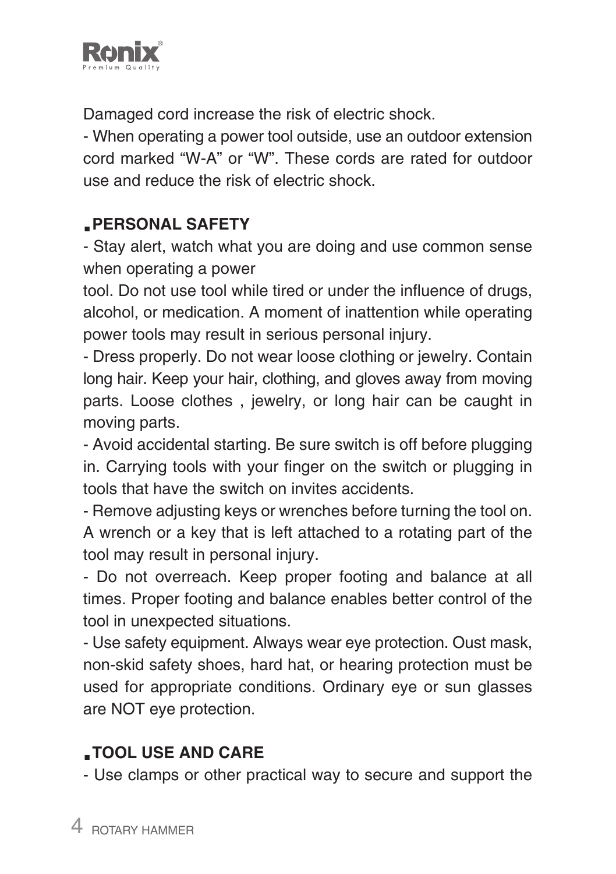

Damaged cord increase the risk of electric shock.

- When operating a power tool outside, use an outdoor extension cord marked "W-A" or "W". These cords are rated for outdoor use and reduce the risk of electric shock.

#### **.PERSONAL SAFETY**

- Stay alert, watch what you are doing and use common sense when operating a power

tool. Do not use tool while tired or under the influence of drugs, alcohol, or medication. A moment of inattention while operating power tools may result in serious personal injury.

- Dress properly. Do not wear loose clothing or jewelry. Contain long hair. Keep your hair, clothing, and gloves away from moving parts. Loose clothes , jewelry, or long hair can be caught in moving parts.

- Avoid accidental starting. Be sure switch is off before plugging in. Carrying tools with your finger on the switch or plugging in tools that have the switch on invites accidents.

- Remove adjusting keys or wrenches before turning the tool on. A wrench or a key that is left attached to a rotating part of the tool may result in personal injury.

- Do not overreach. Keep proper footing and balance at all times. Proper footing and balance enables better control of the tool in unexpected situations.

- Use safety equipment. Always wear eye protection. Oust mask, non-skid safety shoes, hard hat, or hearing protection must be used for appropriate conditions. Ordinary eye or sun glasses are NOT eye protection.

## **.TOOL USE AND CARE**

- Use clamps or other practical way to secure and support the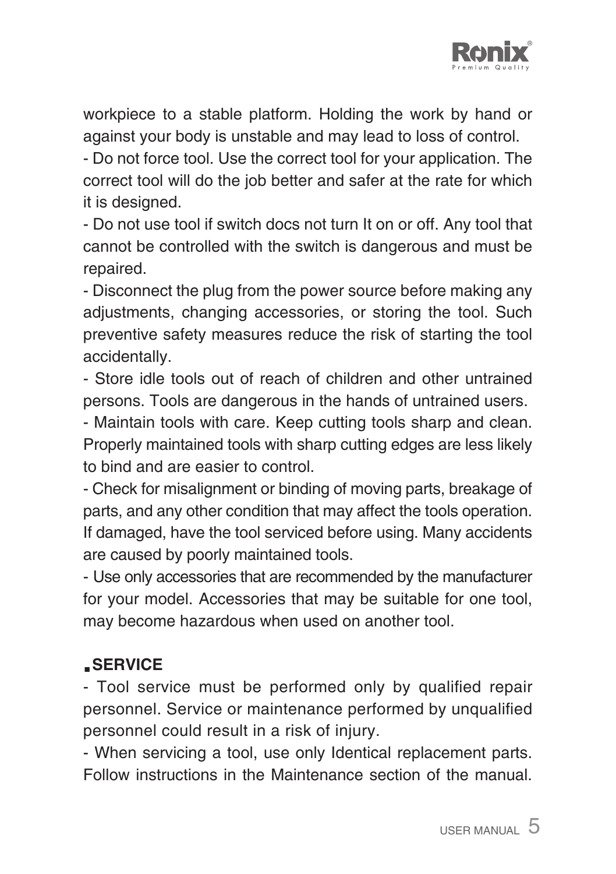

workpiece to a stable platform. Holding the work by hand or against your body is unstable and may lead to loss of control.

- Do not force tool. Use the correct tool for your application. The correct tool will do the job better and safer at the rate for which it is designed.

- Do not use tool if switch docs not turn It on or off. Any tool that cannot be controlled with the switch is dangerous and must be repaired.

- Disconnect the plug from the power source before making any adjustments, changing accessories, or storing the tool. Such preventive safety measures reduce the risk of starting the tool accidentally.

- Store idle tools out of reach of children and other untrained persons. Tools are dangerous in the hands of untrained users.

- Maintain tools with care. Keep cutting tools sharp and clean. Properly maintained tools with sharp cutting edges are less likely to bind and are easier to control.

- Check for misalignment or binding of moving parts, breakage of parts, and any other condition that may affect the tools operation. If damaged, have the tool serviced before using. Many accidents are caused by poorly maintained tools.

- Use only accessories that are recommended by the manufacturer for your model. Accessories that may be suitable for one tool, may become hazardous when used on another tool.

#### **.SERVICE**

- Tool service must be performed only by qualified repair personnel. Service or maintenance performed by unqualified personnel could result in a risk of injury.

- When servicing a tool, use only Identical replacement parts. Follow instructions in the Maintenance section of the manual.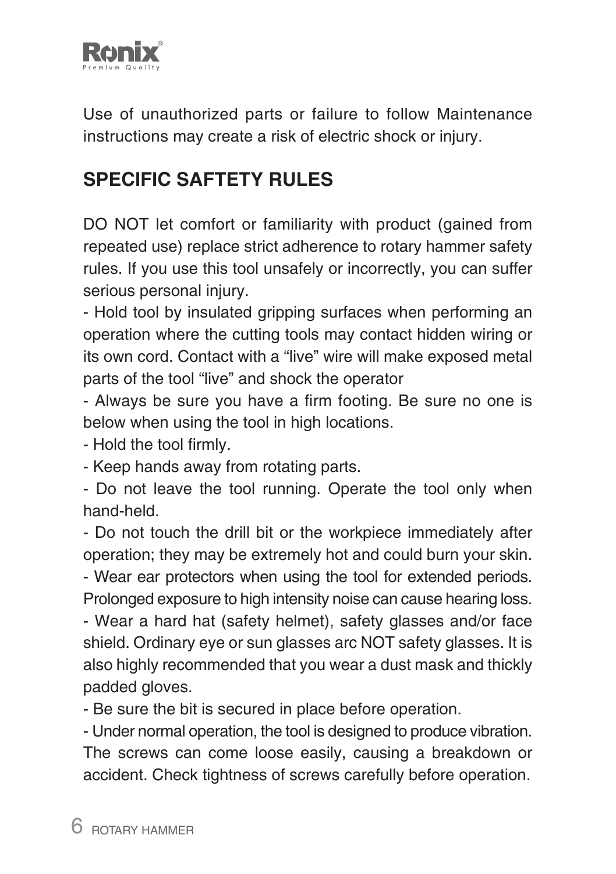

Use of unauthorized parts or failure to follow Maintenance instructions may create a risk of electric shock or injury.

## **SPECIFIC SAFTETY RULES**

DO NOT let comfort or familiarity with product (gained from repeated use) replace strict adherence to rotary hammer safety rules. If you use this tool unsafely or incorrectly, you can suffer serious personal injury.

- Hold tool by insulated gripping surfaces when performing an operation where the cutting tools may contact hidden wiring or its own cord. Contact with a "live" wire will make exposed metal parts of the tool "live" and shock the operator

- Always be sure you have a firm footing. Be sure no one is below when using the tool in high locations.

- Hold the tool firmly.

- Keep hands away from rotating parts.

- Do not leave the tool running. Operate the tool only when hand-held.

- Do not touch the drill bit or the workpiece immediately after operation; they may be extremely hot and could burn your skin.

- Wear ear protectors when using the tool for extended periods. Prolonged exposure to high intensity noise can cause hearing loss.

- Wear a hard hat (safety helmet), safety glasses and/or face shield. Ordinary eye or sun glasses arc NOT safety glasses. It is also highly recommended that you wear a dust mask and thickly padded gloves.

- Be sure the bit is secured in place before operation.

- Under normal operation, the tool is designed to produce vibration. The screws can come loose easily, causing a breakdown or accident. Check tightness of screws carefully before operation.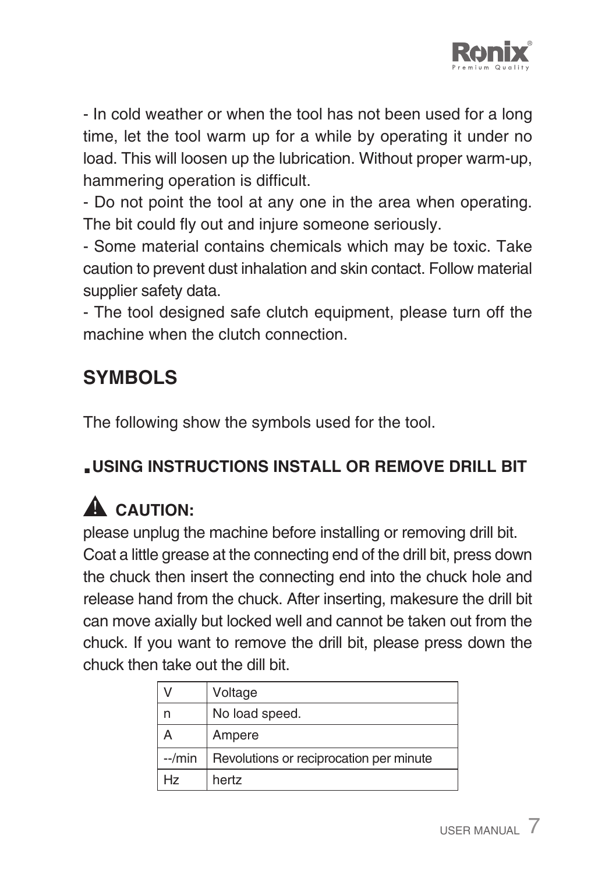

- In cold weather or when the tool has not been used for a long time, let the tool warm up for a while by operating it under no load. This will loosen up the lubrication. Without proper warm-up, hammering operation is difficult.

- Do not point the tool at any one in the area when operating. The bit could fly out and injure someone seriously.

- Some material contains chemicals which may be toxic. Take caution to prevent dust inhalation and skin contact. Follow material supplier safety data.

- The tool designed safe clutch equipment, please turn off the machine when the clutch connection

## **SYMBOLS**

The following show the symbols used for the tool.

## **.USING INSTRUCTIONS INSTALL OR REMOVE DRILL BIT**

# A CAUTION:

please unplug the machine before installing or removing drill bit. Coat a little grease at the connecting end of the drill bit, press down the chuck then insert the connecting end into the chuck hole and release hand from the chuck. After inserting, makesure the drill bit can move axially but locked well and cannot be taken out from the chuck. If you want to remove the drill bit, please press down the chuck then take out the dill bit.

|         | Voltage                                 |
|---------|-----------------------------------------|
|         | No load speed.                          |
|         | Ampere                                  |
| $-/min$ | Revolutions or reciprocation per minute |
| Hz      | hertz                                   |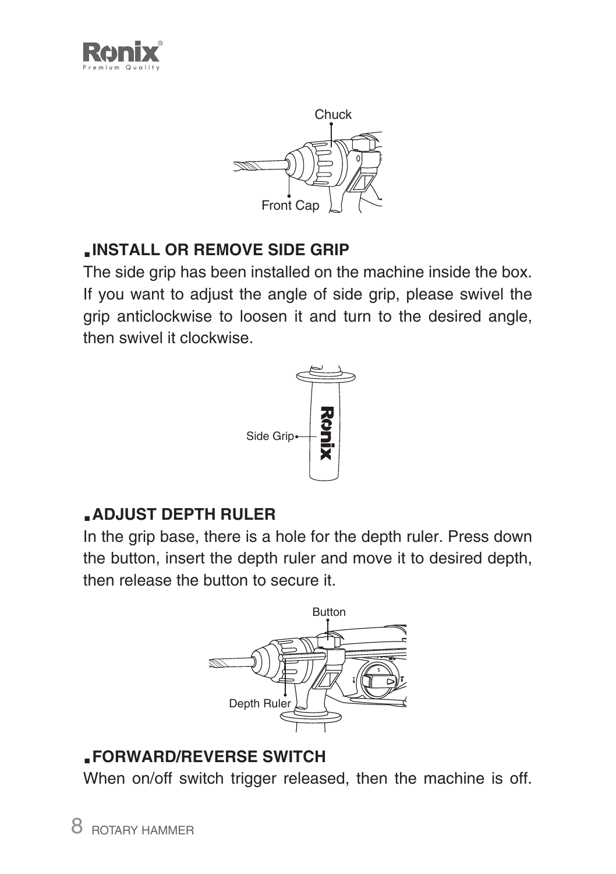



### **.INSTALL OR REMOVE SIDE GRIP**

The side grip has been installed on the machine inside the box. If you want to adjust the angle of side grip, please swivel the grip anticlockwise to loosen it and turn to the desired angle, then swivel it clockwise.



### **.ADJUST DEPTH RULER**

In the grip base, there is a hole for the depth ruler. Press down the button, insert the depth ruler and move it to desired depth, then release the button to secure it.



#### **.FORWARD/REVERSE SWITCH**

When on/off switch trigger released, then the machine is off.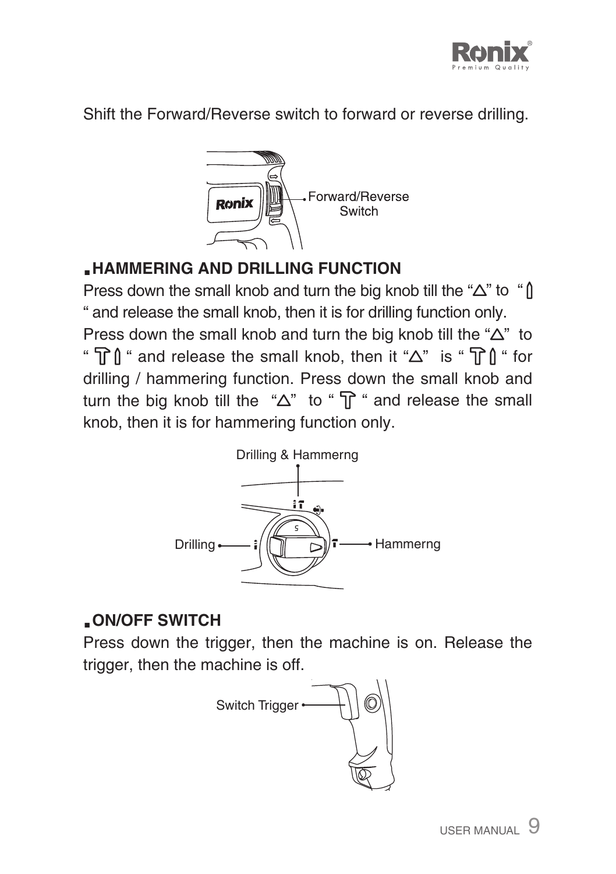

Shift the Forward/Reverse switch to forward or reverse drilling.



### **.HAMMERING AND DRILLING FUNCTION**

Press down the small knob and turn the big knob till the " $\Delta$ " to " $\hat{\parallel}$ " and release the small knob, then it is for drilling function only.

Press down the small knob and turn the big knob till the " $\Delta$ " to "  $\mathbb{T}$   $\mathbb{N}$  " and release the small knob, then it " $\Delta$ " is "  $\mathbb{T}$   $\mathbb{N}$  " for drilling / hammering function. Press down the small knob and turn the big knob till the " $\Delta$ " to " $\pi$ " and release the small knob, then it is for hammering function only.



### **.ON/OFF SWITCH**

Press down the trigger, then the machine is on. Release the trigger, then the machine is off.

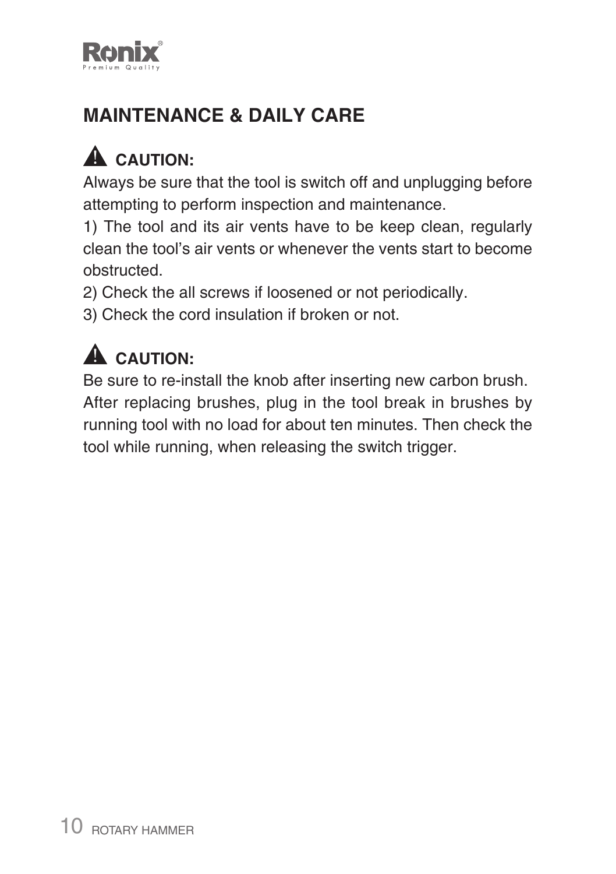

## **MAINTENANCE & DAILY CARE**

# A CAUTION:

Always be sure that the tool is switch off and unplugging before attempting to perform inspection and maintenance.

1) The tool and its air vents have to be keep clean, regularly clean the tool's air vents or whenever the vents start to become obstructed.

2) Check the all screws if loosened or not periodically.

3) Check the cord insulation if broken or not.

# A CAUTION:

Be sure to re-install the knob after inserting new carbon brush. After replacing brushes, plug in the tool break in brushes by running tool with no load for about ten minutes. Then check the tool while running, when releasing the switch trigger.